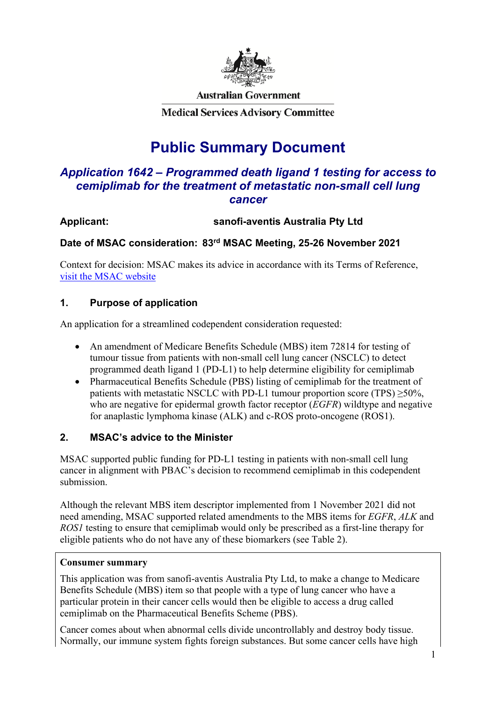

**Australian Government** 

**Medical Services Advisory Committee** 

# **Public Summary Document**

# *Application 1642 – Programmed death ligand 1 testing for access to cemiplimab for the treatment of metastatic non-small cell lung cancer*

# **Applicant: sanofi-aventis Australia Pty Ltd**

### **Date of MSAC consideration: 83rd MSAC Meeting, 25-26 November 2021**

Context for decision: MSAC makes its advice in accordance with its Terms of Reference, [visit the MSAC website](http://www.msac.gov.au/)

### **1. Purpose of application**

An application for a streamlined codependent consideration requested:

- An amendment of Medicare Benefits Schedule (MBS) item 72814 for testing of tumour tissue from patients with non-small cell lung cancer (NSCLC) to detect programmed death ligand 1 (PD-L1) to help determine eligibility for cemiplimab
- Pharmaceutical Benefits Schedule (PBS) listing of cemiplimab for the treatment of patients with metastatic NSCLC with PD-L1 tumour proportion score (TPS)  $\geq$ 50%, who are negative for epidermal growth factor receptor (*EGFR*) wildtype and negative for anaplastic lymphoma kinase (ALK) and c-ROS proto-oncogene (ROS1).

### **2. MSAC's advice to the Minister**

MSAC supported public funding for PD-L1 testing in patients with non-small cell lung cancer in alignment with PBAC's decision to recommend cemiplimab in this codependent submission.

Although the relevant MBS item descriptor implemented from 1 November 2021 did not need amending, MSAC supported related amendments to the MBS items for *EGFR*, *ALK* and *ROS1* testing to ensure that cemiplimab would only be prescribed as a first-line therapy for eligible patients who do not have any of these biomarkers (see Table 2).

### **Consumer summary**

This application was from sanofi-aventis Australia Pty Ltd, to make a change to Medicare Benefits Schedule (MBS) item so that people with a type of lung cancer who have a particular protein in their cancer cells would then be eligible to access a drug called cemiplimab on the Pharmaceutical Benefits Scheme (PBS).

Cancer comes about when abnormal cells divide uncontrollably and destroy body tissue. Normally, our immune system fights foreign substances. But some cancer cells have high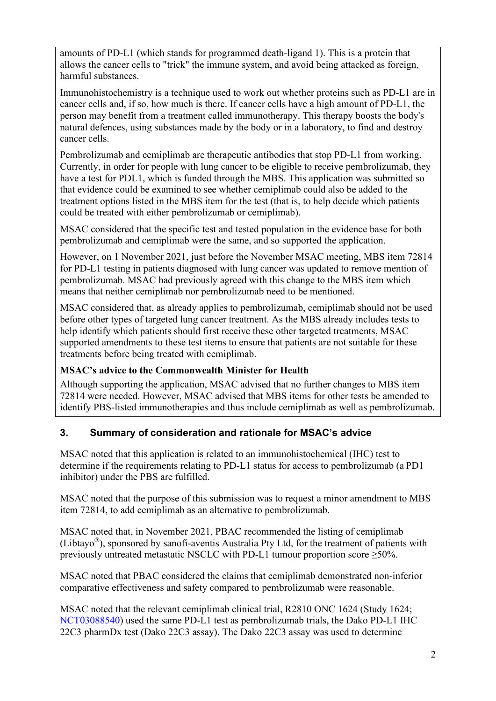amounts of PD-L1 (which stands for programmed death-ligand 1). This is a protein that allows the cancer cells to "trick" the immune system, and avoid being attacked as foreign, harmful substances.

Immunohistochemistry is a technique used to work out whether proteins such as PD-L1 are in cancer cells and, if so, how much is there. If cancer cells have a high amount of PD-L1, the person may benefit from a treatment called immunotherapy. This therapy boosts the body's natural defences, using substances made by the body or in a laboratory, to find and destroy cancer cells.

Pembrolizumab and cemiplimab are therapeutic antibodies that stop PD-L1 from working. Currently, in order for people with lung cancer to be eligible to receive pembrolizumab, they have a test for PDL1, which is funded through the MBS. This application was submitted so that evidence could be examined to see whether cemiplimab could also be added to the treatment options listed in the MBS item for the test (that is, to help decide which patients could be treated with either pembrolizumab or cemiplimab).

MSAC considered that the specific test and tested population in the evidence base for both pembrolizumab and cemiplimab were the same, and so supported the application.

However, on 1 November 2021, just before the November MSAC meeting, MBS item 72814 for PD-L1 testing in patients diagnosed with lung cancer was updated to remove mention of pembrolizumab. MSAC had previously agreed with this change to the MBS item which means that neither cemiplimab nor pembrolizumab need to be mentioned.

MSAC considered that, as already applies to pembrolizumab, cemiplimab should not be used before other types of targeted lung cancer treatment. As the MBS already includes tests to help identify which patients should first receive these other targeted treatments, MSAC supported amendments to these test items to ensure that patients are not suitable for these treatments before being treated with cemiplimab.

# **MSAC's advice to the Commonwealth Minister for Health**

Although supporting the application, MSAC advised that no further changes to MBS item 72814 were needed. However, MSAC advised that MBS items for other tests be amended to identify PBS-listed immunotherapies and thus include cemiplimab as well as pembrolizumab.

# **3. Summary of consideration and rationale for MSAC's advice**

MSAC noted that this application is related to an immunohistochemical (IHC) test to determine if the requirements relating to PD-L1 status for access to pembrolizumab (a PD1 inhibitor) under the PBS are fulfilled.

MSAC noted that the purpose of this submission was to request a minor amendment to MBS item 72814, to add cemiplimab as an alternative to pembrolizumab.

MSAC noted that, in November 2021, PBAC recommended the listing of cemiplimab (Libtayo®), sponsored by sanofi-aventis Australia Pty Ltd, for the treatment of patients with previously untreated metastatic NSCLC with PD-L1 tumour proportion score  $\geq$ 50%.

MSAC noted that PBAC considered the claims that cemiplimab demonstrated non-inferior comparative effectiveness and safety compared to pembrolizumab were reasonable.

MSAC noted that the relevant cemiplimab clinical trial, R2810 ONC 1624 (Study 1624; [NCT03088540\)](https://clinicaltrials.gov/ct2/show/NCT03088540?term=NCT03088540&draw=2&rank=1) used the same PD-L1 test as pembrolizumab trials, the Dako PD-L1 IHC 22C3 pharmDx test (Dako 22C3 assay). The Dako 22C3 assay was used to determine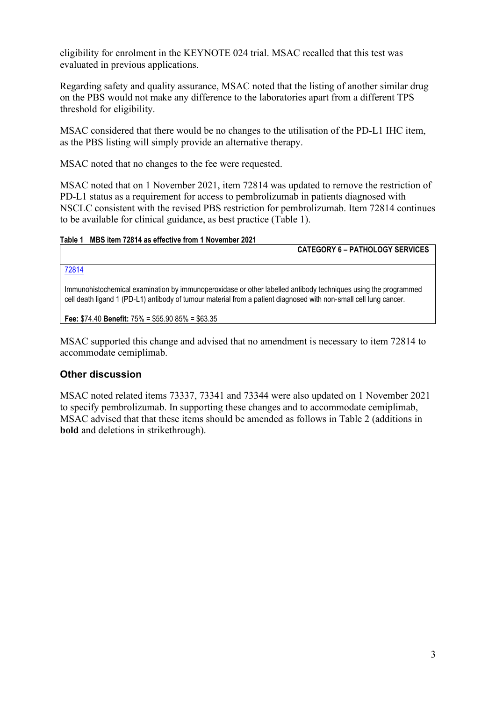eligibility for enrolment in the KEYNOTE 024 trial. MSAC recalled that this test was evaluated in previous applications.

Regarding safety and quality assurance, MSAC noted that the listing of another similar drug on the PBS would not make any difference to the laboratories apart from a different TPS threshold for eligibility.

MSAC considered that there would be no changes to the utilisation of the PD-L1 IHC item, as the PBS listing will simply provide an alternative therapy.

MSAC noted that no changes to the fee were requested.

MSAC noted that on 1 November 2021, item 72814 was updated to remove the restriction of PD-L1 status as a requirement for access to pembrolizumab in patients diagnosed with NSCLC consistent with the revised PBS restriction for pembrolizumab. Item 72814 continues to be available for clinical guidance, as best practice (Table 1).

#### **Table 1 MBS item 72814 as effective from 1 November 2021**

**CATEGORY 6 – PATHOLOGY SERVICES**

[72814](http://www9.health.gov.au/mbs/fullDisplay.cfm?type=item&q=72814&qt=item&criteria=pembrolizumab)

Immunohistochemical examination by immunoperoxidase or other labelled antibody techniques using the programmed cell death ligand 1 (PD-L1) antibody of tumour material from a patient diagnosed with non-small cell lung cancer.

**Fee:** \$74.40 **Benefit:** 75% = \$55.90 85% = \$63.35

MSAC supported this change and advised that no amendment is necessary to item 72814 to accommodate cemiplimab.

### **Other discussion**

MSAC noted related items 73337, 73341 and 73344 were also updated on 1 November 2021 to specify pembrolizumab. In supporting these changes and to accommodate cemiplimab, MSAC advised that that these items should be amended as follows in Table 2 (additions in **bold** and deletions in strikethrough).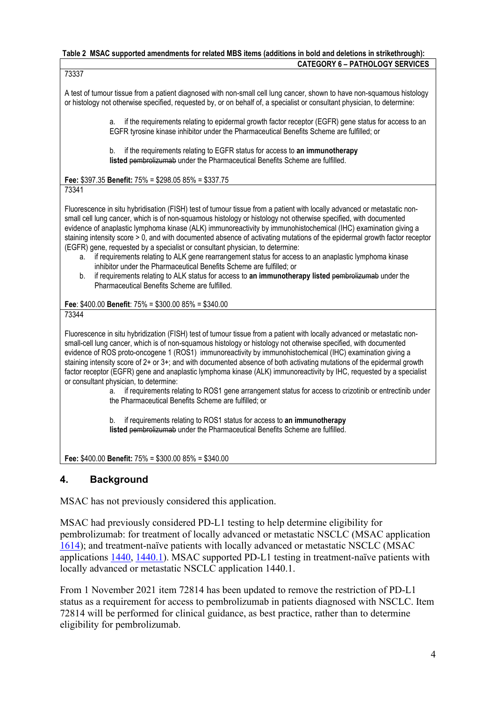#### **Table 2 MSAC supported amendments for related MBS items (additions in bold and deletions in strikethrough): CATEGORY 6 – PATHOLOGY SERVICES**

73337

A test of tumour tissue from a patient diagnosed with non-small cell lung cancer, shown to have non-squamous histology or histology not otherwise specified, requested by, or on behalf of, a specialist or consultant physician, to determine:

> a. if the requirements relating to epidermal growth factor receptor (EGFR) gene status for access to an EGFR tyrosine kinase inhibitor under the Pharmaceutical Benefits Scheme are fulfilled; or

b. if the requirements relating to EGFR status for access to **an immunotherapy listed** pembrolizumab under the Pharmaceutical Benefits Scheme are fulfilled.

**Fee:** \$397.35 **Benefit:** 75% = \$298.05 85% = \$337.75

73341

Fluorescence in situ hybridisation (FISH) test of tumour tissue from a patient with locally advanced or metastatic nonsmall cell lung cancer, which is of non-squamous histology or histology not otherwise specified, with documented evidence of anaplastic lymphoma kinase (ALK) immunoreactivity by immunohistochemical (IHC) examination giving a staining intensity score > 0, and with documented absence of activating mutations of the epidermal growth factor receptor (EGFR) gene, requested by a specialist or consultant physician, to determine:

- if requirements relating to ALK gene rearrangement status for access to an anaplastic lymphoma kinase inhibitor under the Pharmaceutical Benefits Scheme are fulfilled; or
- b. if requirements relating to ALK status for access to **an immunotherapy listed** pembrolizumab under the Pharmaceutical Benefits Scheme are fulfilled.

**Fee**: \$400.00 **Benefit**: 75% = \$300.00 85% = \$340.00 73344

Fluorescence in situ hybridization (FISH) test of tumour tissue from a patient with locally advanced or metastatic nonsmall-cell lung cancer, which is of non-squamous histology or histology not otherwise specified, with documented evidence of ROS proto-oncogene 1 (ROS1) immunoreactivity by immunohistochemical (IHC) examination giving a staining intensity score of 2+ or 3+; and with documented absence of both activating mutations of the epidermal growth factor receptor (EGFR) gene and anaplastic lymphoma kinase (ALK) immunoreactivity by IHC, requested by a specialist or consultant physician, to determine:

a. if requirements relating to ROS1 gene arrangement status for access to crizotinib or entrectinib under the Pharmaceutical Benefits Scheme are fulfilled; or

b. if requirements relating to ROS1 status for access to **an immunotherapy listed** pembrolizumab under the Pharmaceutical Benefits Scheme are fulfilled.

**Fee:** \$400.00 **Benefit:** 75% = \$300.00 85% = \$340.00

# **4. Background**

MSAC has not previously considered this application.

MSAC had previously considered PD-L1 testing to help determine eligibility for pembrolizumab: for treatment of locally advanced or metastatic NSCLC (MSAC application [1614\)](http://www.msac.gov.au/internet/msac/publishing.nsf/Content/154DEF7A9C4C4D2BCA25801000123C11/$File/1414%20-%20Public%20Summary%20Document.DOCX); and treatment-naïve patients with locally advanced or metastatic NSCLC (MSAC applications [1440,](http://www.msac.gov.au/internet/msac/publishing.nsf/Content/8D0D2D7EEEFF52A2CA25801000123C23/$File/1440-FinalPSD-accessible.docx) [1440.1\)](http://www.msac.gov.au/internet/msac/publishing.nsf/Content/1440.1-public). MSAC supported PD-L1 testing in treatment-naïve patients with locally advanced or metastatic NSCLC application 1440.1.

From 1 November 2021 item 72814 has been updated to remove the restriction of PD-L1 status as a requirement for access to pembrolizumab in patients diagnosed with NSCLC. Item 72814 will be performed for clinical guidance, as best practice, rather than to determine eligibility for pembrolizumab.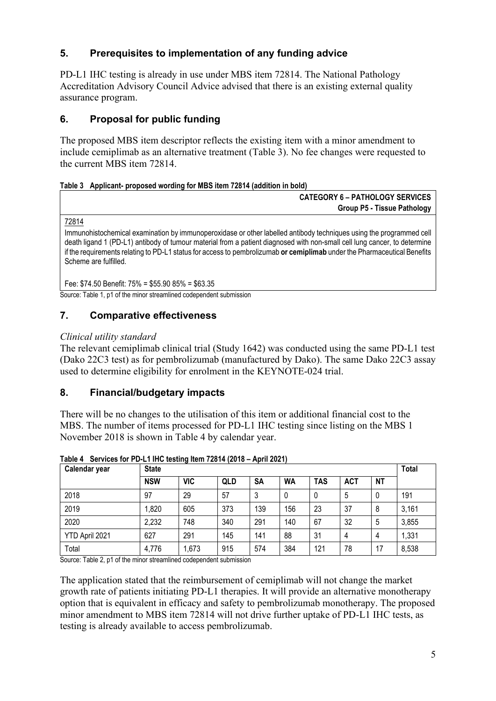# **5. Prerequisites to implementation of any funding advice**

PD-L1 IHC testing is already in use under MBS item 72814. The National Pathology Accreditation Advisory Council Advice advised that there is an existing external quality assurance program.

# **6. Proposal for public funding**

The proposed MBS item descriptor reflects the existing item with a minor amendment to include cemiplimab as an alternative treatment (Table 3). No fee changes were requested to the current MBS item 72814.

### **Table 3 Applicant- proposed wording for MBS item 72814 (addition in bold)**

| <b>CATEGORY 6 - PATHOLOGY SERVICES</b> |  |  |  |
|----------------------------------------|--|--|--|
| <b>Group P5 - Tissue Pathology</b>     |  |  |  |

[72814](http://www9.health.gov.au/mbs/fullDisplay.cfm?type=item&q=72814&qt=item&criteria=pembrolizumab)

Immunohistochemical examination by immunoperoxidase or other labelled antibody techniques using the programmed cell death ligand 1 (PD-L1) antibody of tumour material from a patient diagnosed with non-small cell lung cancer, to determine if the requirements relating to PD-L1 status for access to pembrolizumab **or cemiplimab** under the Pharmaceutical Benefits Scheme are fulfilled.

Fee: \$74.50 Benefit: 75% = \$55.90 85% = \$63.35

Source: Table 1, p1 of the minor streamlined codependent submission

### **7. Comparative effectiveness**

### *Clinical utility standard*

The relevant cemiplimab clinical trial (Study 1642) was conducted using the same PD-L1 test (Dako 22C3 test) as for pembrolizumab (manufactured by Dako). The same Dako 22C3 assay used to determine eligibility for enrolment in the KEYNOTE-024 trial.

# **8. Financial/budgetary impacts**

There will be no changes to the utilisation of this item or additional financial cost to the MBS. The number of items processed for PD-L1 IHC testing since listing on the MBS 1 November 2018 is shown in Table 4 by calendar year.

| Calendar year  | <b>State</b> |            |     |     |           |            |            |           |       |  |
|----------------|--------------|------------|-----|-----|-----------|------------|------------|-----------|-------|--|
|                | <b>NSW</b>   | <b>VIC</b> | QLD | SA  | <b>WA</b> | <b>TAS</b> | <b>ACT</b> | <b>NT</b> |       |  |
| 2018           | 97           | 29         | 57  | 3   |           |            | 5          | 0         | 191   |  |
| 2019           | 0.820        | 605        | 373 | 139 | 156       | 23         | 37         | 8         | 3,161 |  |
| 2020           | 2,232        | 748        | 340 | 291 | 140       | 67         | 32         | 5         | 3,855 |  |
| YTD April 2021 | 627          | 291        | 145 | 141 | 88        | 31         | 4          | 4         | 1,331 |  |
| Total          | 4,776        | 1,673      | 915 | 574 | 384       | 121        | 78         | 17        | 8,538 |  |

**Table 4 Services for PD-L1 IHC testing Item 72814 (2018 – April 2021)**

Source: Table 2, p1 of the minor streamlined codependent submission

The application stated that the reimbursement of cemiplimab will not change the market growth rate of patients initiating PD-L1 therapies. It will provide an alternative monotherapy option that is equivalent in efficacy and safety to pembrolizumab monotherapy. The proposed minor amendment to MBS item 72814 will not drive further uptake of PD-L1 IHC tests, as testing is already available to access pembrolizumab.